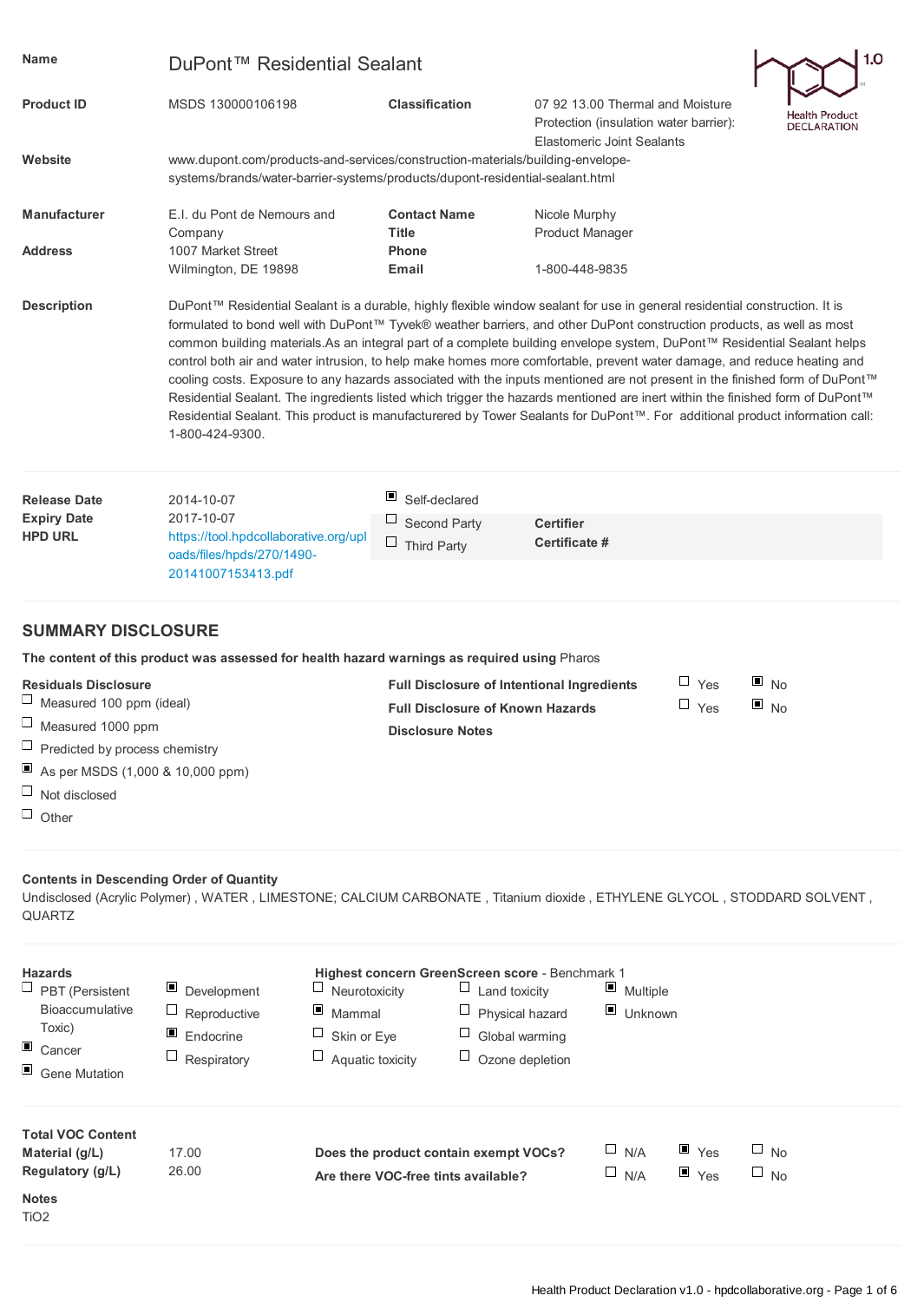| <b>Name</b>                                                                                                                  | DuPont™ Residential Sealant                                                                                                                                                                                                                                                                                                                                                                                                                                                                                                                                                                                                                                                                                                                                                                                                                                                                                                  |                                                                                                                                                                 |                                                                                                                 |                        | 1.0                                    |  |  |
|------------------------------------------------------------------------------------------------------------------------------|------------------------------------------------------------------------------------------------------------------------------------------------------------------------------------------------------------------------------------------------------------------------------------------------------------------------------------------------------------------------------------------------------------------------------------------------------------------------------------------------------------------------------------------------------------------------------------------------------------------------------------------------------------------------------------------------------------------------------------------------------------------------------------------------------------------------------------------------------------------------------------------------------------------------------|-----------------------------------------------------------------------------------------------------------------------------------------------------------------|-----------------------------------------------------------------------------------------------------------------|------------------------|----------------------------------------|--|--|
| <b>Product ID</b>                                                                                                            | MSDS 130000106198                                                                                                                                                                                                                                                                                                                                                                                                                                                                                                                                                                                                                                                                                                                                                                                                                                                                                                            | <b>Classification</b>                                                                                                                                           | 07 92 13.00 Thermal and Moisture<br>Protection (insulation water barrier):<br><b>Elastomeric Joint Sealants</b> |                        | Health Product<br><b>DECLARATION</b>   |  |  |
| Website                                                                                                                      |                                                                                                                                                                                                                                                                                                                                                                                                                                                                                                                                                                                                                                                                                                                                                                                                                                                                                                                              | www.dupont.com/products-and-services/construction-materials/building-envelope-<br>systems/brands/water-barrier-systems/products/dupont-residential-sealant.html |                                                                                                                 |                        |                                        |  |  |
| <b>Manufacturer</b>                                                                                                          | E.I. du Pont de Nemours and                                                                                                                                                                                                                                                                                                                                                                                                                                                                                                                                                                                                                                                                                                                                                                                                                                                                                                  | <b>Contact Name</b>                                                                                                                                             | Nicole Murphy                                                                                                   |                        |                                        |  |  |
| <b>Address</b>                                                                                                               | Company<br>1007 Market Street<br>Wilmington, DE 19898                                                                                                                                                                                                                                                                                                                                                                                                                                                                                                                                                                                                                                                                                                                                                                                                                                                                        | <b>Title</b><br><b>Phone</b><br>Email                                                                                                                           | <b>Product Manager</b><br>1-800-448-9835                                                                        |                        |                                        |  |  |
| <b>Description</b>                                                                                                           | DuPont™ Residential Sealant is a durable, highly flexible window sealant for use in general residential construction. It is<br>formulated to bond well with DuPont™ Tyvek® weather barriers, and other DuPont construction products, as well as most<br>common building materials.As an integral part of a complete building envelope system, DuPont™ Residential Sealant helps<br>control both air and water intrusion, to help make homes more comfortable, prevent water damage, and reduce heating and<br>cooling costs. Exposure to any hazards associated with the inputs mentioned are not present in the finished form of DuPont™<br>Residential Sealant. The ingredients listed which trigger the hazards mentioned are inert within the finished form of DuPont™<br>Residential Sealant. This product is manufacturered by Tower Sealants for DuPont™. For additional product information call:<br>1-800-424-9300. |                                                                                                                                                                 |                                                                                                                 |                        |                                        |  |  |
| <b>Release Date</b><br><b>Expiry Date</b>                                                                                    | 2014-10-07<br>2017-10-07                                                                                                                                                                                                                                                                                                                                                                                                                                                                                                                                                                                                                                                                                                                                                                                                                                                                                                     | ш<br>Self-declared<br>Ц                                                                                                                                         |                                                                                                                 |                        |                                        |  |  |
| <b>HPD URL</b>                                                                                                               | https://tool.hpdcollaborative.org/upl<br>oads/files/hpds/270/1490-<br>20141007153413.pdf                                                                                                                                                                                                                                                                                                                                                                                                                                                                                                                                                                                                                                                                                                                                                                                                                                     | Second Party<br>Ц<br>Third Party                                                                                                                                | <b>Certifier</b><br>Certificate #                                                                               |                        |                                        |  |  |
| <b>SUMMARY DISCLOSURE</b>                                                                                                    |                                                                                                                                                                                                                                                                                                                                                                                                                                                                                                                                                                                                                                                                                                                                                                                                                                                                                                                              |                                                                                                                                                                 |                                                                                                                 |                        |                                        |  |  |
|                                                                                                                              | The content of this product was assessed for health hazard warnings as required using Pharos                                                                                                                                                                                                                                                                                                                                                                                                                                                                                                                                                                                                                                                                                                                                                                                                                                 |                                                                                                                                                                 |                                                                                                                 |                        |                                        |  |  |
| <b>Residuals Disclosure</b><br>Measured 100 ppm (ideal)<br>$\Box$ Measured 1000 ppm<br>$\Box$ Predicted by process chemistry |                                                                                                                                                                                                                                                                                                                                                                                                                                                                                                                                                                                                                                                                                                                                                                                                                                                                                                                              | <b>Full Disclosure of Intentional Ingredients</b><br><b>Full Disclosure of Known Hazards</b><br><b>Disclosure Notes</b>                                         |                                                                                                                 | ш<br>Yes<br>$\Box$ Yes | $\blacksquare$ No<br>$\blacksquare$ No |  |  |
| Ξ<br>As per MSDS (1,000 & 10,000 ppm)<br>$\Box$ Not disclosed<br>$\Box$ Other                                                |                                                                                                                                                                                                                                                                                                                                                                                                                                                                                                                                                                                                                                                                                                                                                                                                                                                                                                                              |                                                                                                                                                                 |                                                                                                                 |                        |                                        |  |  |
| <b>Contents in Descending Order of Quantity</b><br><b>QUARTZ</b>                                                             | Undisclosed (Acrylic Polymer), WATER, LIMESTONE; CALCIUM CARBONATE, Titanium dioxide, ETHYLENE GLYCOL, STODDARD SOLVENT,                                                                                                                                                                                                                                                                                                                                                                                                                                                                                                                                                                                                                                                                                                                                                                                                     |                                                                                                                                                                 |                                                                                                                 |                        |                                        |  |  |
| <b>Hazards</b><br>$\Box$ PRT (Persistent                                                                                     | $\blacksquare$ Development<br>$\Box$ Neurotoxicity                                                                                                                                                                                                                                                                                                                                                                                                                                                                                                                                                                                                                                                                                                                                                                                                                                                                           | Highest concern GreenScreen score - Benchmark 1<br>$\Box$ I and toxicity                                                                                        | $\Box$ Multiple                                                                                                 |                        |                                        |  |  |

| $\Box$ PBT (Persistent<br><b>Bioaccumulative</b><br>Toxic)<br>$\Box$ Cancer<br>Gene Mutation | $\blacksquare$ Development<br>$\Box$ Reproductive<br>$\blacksquare$ Endocrine<br>$\Box$ Respiratory | Ц<br>Neurotoxicity<br>$\blacksquare$ Mammal<br>ц<br>Skin or Eye<br>$\Box$ Aquatic toxicity | ⊔<br>Land toxicity<br>$\sqcup$<br>Physical hazard<br>⊔<br>Global warming<br>⊔<br>Ozone depletion | $\blacksquare$ Multiple<br>Unknown |                                          |                        |  |
|----------------------------------------------------------------------------------------------|-----------------------------------------------------------------------------------------------------|--------------------------------------------------------------------------------------------|--------------------------------------------------------------------------------------------------|------------------------------------|------------------------------------------|------------------------|--|
| <b>Total VOC Content</b><br>Material (g/L)<br>Regulatory (g/L)                               | 17.00<br>26.00                                                                                      | Are there VOC-free tints available?                                                        | Does the product contain exempt VOCs?                                                            | $\sqcup$ N/A<br>$\Box$ N/A         | $\blacksquare$ Yes<br>$\blacksquare$ Yes | $\Box$ No<br>$\Box$ No |  |
| <b>Notes</b><br>TiO <sub>2</sub>                                                             |                                                                                                     |                                                                                            |                                                                                                  |                                    |                                          |                        |  |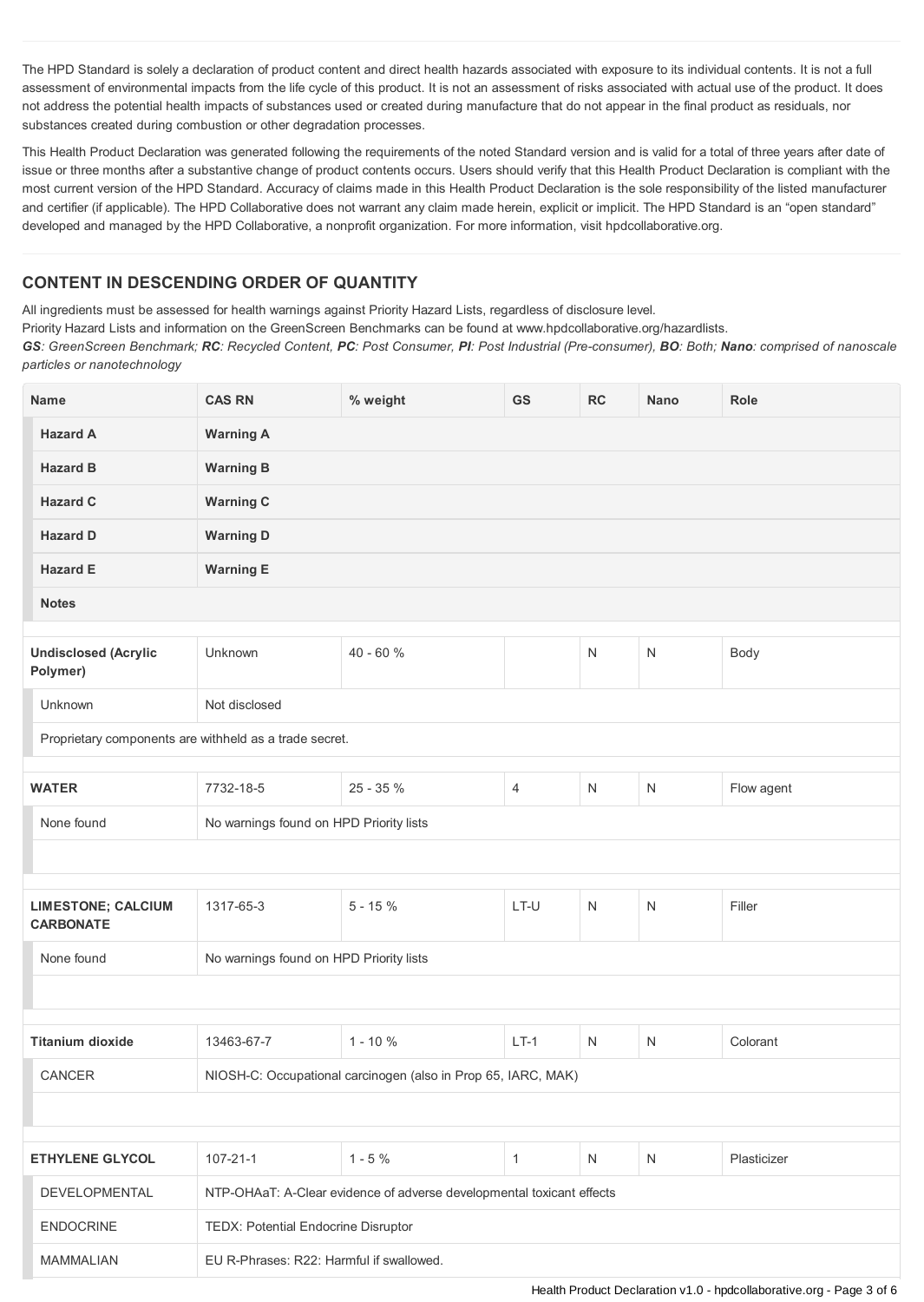The HPD Standard is solely a declaration of product content and direct health hazards associated with exposure to its individual contents. It is not a full assessment of environmental impacts from the life cycle of this product. It is not an assessment of risks associated with actual use of the product. It does not address the potential health impacts of substances used or created during manufacture that do not appear in the final product as residuals, nor substances created during combustion or other degradation processes.

This Health Product Declaration was generated following the requirements of the noted Standard version and is valid for a total of three years after date of issue or three months after a substantive change of product contents occurs. Users should verify that this Health Product Declaration is compliant with the most current version of the HPD Standard. Accuracy of claims made in this Health Product Declaration is the sole responsibility of the listed manufacturer and certifier (if applicable). The HPD Collaborative does not warrant any claim made herein, explicit or implicit. The HPD Standard is an "open standard" developed and managed by the HPD Collaborative, a nonprofit organization. For more information, visit hpdcollaborative.org.

## **CONTENT IN DESCENDING ORDER OF QUANTITY**

All ingredients must be assessed for health warnings against Priority Hazard Lists, regardless of disclosure level.

Priority Hazard Lists and information on the GreenScreen Benchmarks can be found at www.hpdcollaborative.org/hazardlists.

GS: GreenScreen Benchmark; RC: Recycled Content, PC: Post Consumer, PI: Post Industrial (Pre-consumer), BO: Both; Nano: comprised of nanoscale *particles or nanotechnology*

| <b>Name</b>                                            | <b>CAS RN</b>                                                  | % weight                                                              | GS           | RC           | <b>Nano</b>  | Role        |  |
|--------------------------------------------------------|----------------------------------------------------------------|-----------------------------------------------------------------------|--------------|--------------|--------------|-------------|--|
| <b>Hazard A</b>                                        | <b>Warning A</b>                                               |                                                                       |              |              |              |             |  |
| <b>Hazard B</b>                                        | <b>Warning B</b>                                               |                                                                       |              |              |              |             |  |
| <b>Hazard C</b>                                        | <b>Warning C</b>                                               |                                                                       |              |              |              |             |  |
| <b>Hazard D</b>                                        | <b>Warning D</b>                                               |                                                                       |              |              |              |             |  |
| <b>Hazard E</b>                                        | <b>Warning E</b>                                               |                                                                       |              |              |              |             |  |
| <b>Notes</b>                                           |                                                                |                                                                       |              |              |              |             |  |
| <b>Undisclosed (Acrylic</b><br>Polymer)                | Unknown                                                        | 40 - 60 %                                                             |              | $\mathsf{N}$ | $\mathsf{N}$ | Body        |  |
| Unknown                                                | Not disclosed                                                  |                                                                       |              |              |              |             |  |
| Proprietary components are withheld as a trade secret. |                                                                |                                                                       |              |              |              |             |  |
| <b>WATER</b>                                           | 25 - 35 %<br>Flow agent<br>7732-18-5<br>4<br>N<br>$\mathsf{N}$ |                                                                       |              |              |              |             |  |
| None found                                             |                                                                |                                                                       |              |              |              |             |  |
|                                                        | No warnings found on HPD Priority lists                        |                                                                       |              |              |              |             |  |
|                                                        |                                                                |                                                                       |              |              |              |             |  |
| <b>LIMESTONE; CALCIUM</b><br><b>CARBONATE</b>          | 1317-65-3                                                      | $5 - 15%$                                                             | LT-U         | $\mathsf{N}$ | $\mathsf{N}$ | Filler      |  |
| None found                                             | No warnings found on HPD Priority lists                        |                                                                       |              |              |              |             |  |
|                                                        |                                                                |                                                                       |              |              |              |             |  |
| <b>Titanium dioxide</b>                                | 13463-67-7                                                     | $1 - 10 \%$                                                           | $LT-1$       | N            | $\mathsf{N}$ | Colorant    |  |
| CANCER                                                 | NIOSH-C: Occupational carcinogen (also in Prop 65, IARC, MAK)  |                                                                       |              |              |              |             |  |
|                                                        |                                                                |                                                                       |              |              |              |             |  |
|                                                        |                                                                |                                                                       |              |              |              |             |  |
| <b>ETHYLENE GLYCOL</b>                                 | $107 - 21 - 1$                                                 | $1 - 5%$                                                              | $\mathbf{1}$ | ${\sf N}$    | N            | Plasticizer |  |
| DEVELOPMENTAL                                          |                                                                | NTP-OHAaT: A-Clear evidence of adverse developmental toxicant effects |              |              |              |             |  |
| <b>ENDOCRINE</b>                                       | TEDX: Potential Endocrine Disruptor                            |                                                                       |              |              |              |             |  |
| MAMMALIAN                                              | EU R-Phrases: R22: Harmful if swallowed.                       |                                                                       |              |              |              |             |  |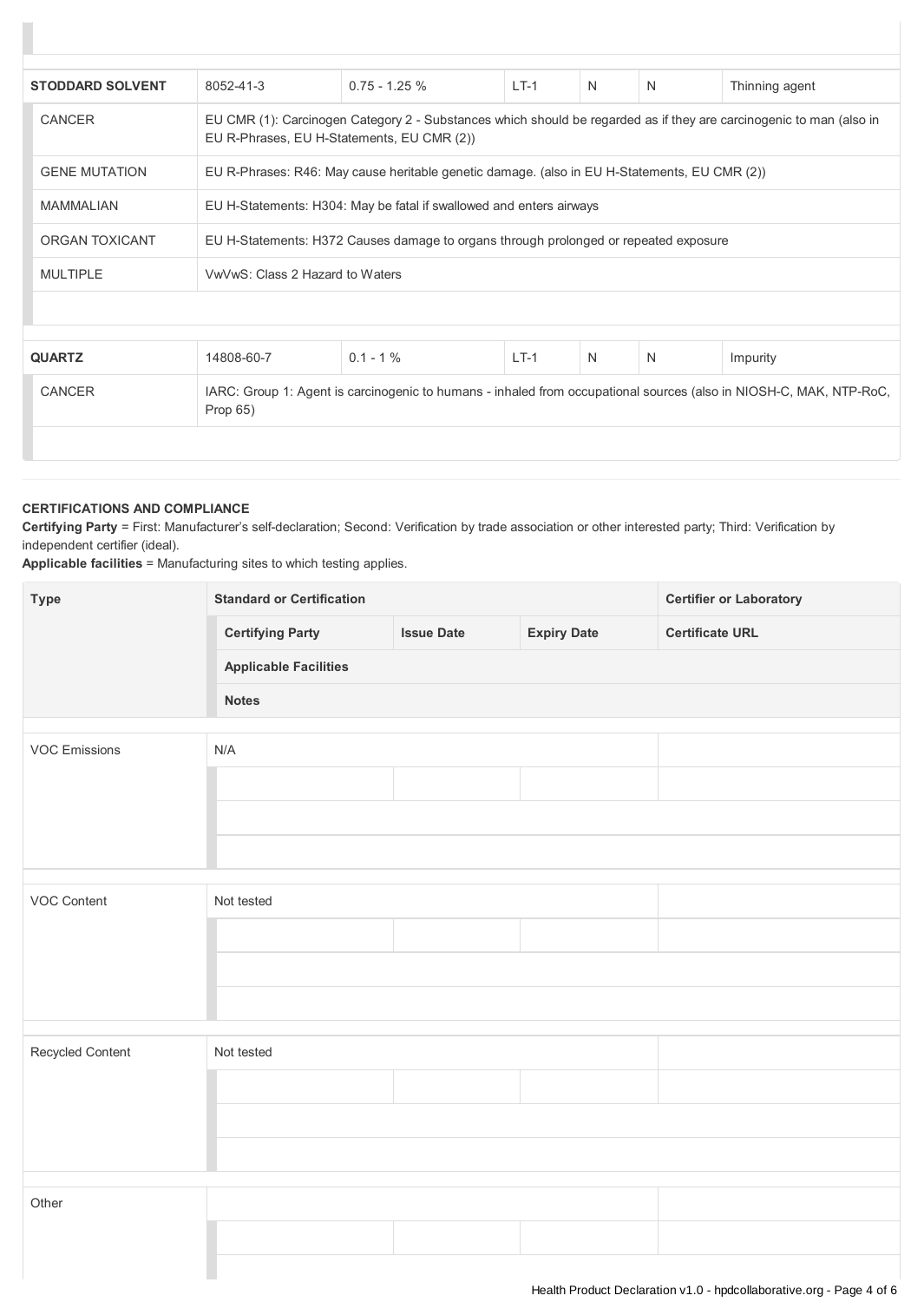| <b>STODDARD SOLVENT</b> | 8052-41-3                                                                                                                      | $0.75 - 1.25 \%$                                                                                                                                                  | $LT-1$ | N | N | Thinning agent |  |
|-------------------------|--------------------------------------------------------------------------------------------------------------------------------|-------------------------------------------------------------------------------------------------------------------------------------------------------------------|--------|---|---|----------------|--|
| CANCER                  |                                                                                                                                | EU CMR (1): Carcinogen Category 2 - Substances which should be regarded as if they are carcinogenic to man (also in<br>EU R-Phrases, EU H-Statements, EU CMR (2)) |        |   |   |                |  |
| <b>GENE MUTATION</b>    |                                                                                                                                | EU R-Phrases: R46: May cause heritable genetic damage. (also in EU H-Statements, EU CMR (2))                                                                      |        |   |   |                |  |
| <b>MAMMALIAN</b>        |                                                                                                                                | EU H-Statements: H304: May be fatal if swallowed and enters airways                                                                                               |        |   |   |                |  |
| ORGAN TOXICANT          |                                                                                                                                | EU H-Statements: H372 Causes damage to organs through prolonged or repeated exposure                                                                              |        |   |   |                |  |
| <b>MULTIPLE</b>         |                                                                                                                                | VwVwS: Class 2 Hazard to Waters                                                                                                                                   |        |   |   |                |  |
|                         |                                                                                                                                |                                                                                                                                                                   |        |   |   |                |  |
|                         |                                                                                                                                |                                                                                                                                                                   |        |   |   |                |  |
| <b>QUARTZ</b>           | 14808-60-7                                                                                                                     | $0.1 - 1\%$                                                                                                                                                       | $LT-1$ | N | N | Impurity       |  |
| CANCER                  | IARC: Group 1: Agent is carcinogenic to humans - inhaled from occupational sources (also in NIOSH-C, MAK, NTP-RoC,<br>Prop 65) |                                                                                                                                                                   |        |   |   |                |  |
|                         |                                                                                                                                |                                                                                                                                                                   |        |   |   |                |  |

## **CERTIFICATIONS AND COMPLIANCE**

**Certifying Party** = First: Manufacturer's self-declaration; Second: Verification by trade association or other interested party; Third: Verification by independent certifier (ideal).

**Applicable facilities** = Manufacturing sites to which testing applies.

| <b>Type</b>          | <b>Standard or Certification</b> |                   |                    | <b>Certifier or Laboratory</b> |  |  |
|----------------------|----------------------------------|-------------------|--------------------|--------------------------------|--|--|
|                      | <b>Certifying Party</b>          | <b>Issue Date</b> | <b>Expiry Date</b> | <b>Certificate URL</b>         |  |  |
|                      | <b>Applicable Facilities</b>     |                   |                    |                                |  |  |
|                      | <b>Notes</b>                     |                   |                    |                                |  |  |
|                      |                                  |                   |                    |                                |  |  |
| <b>VOC Emissions</b> | N/A                              |                   |                    |                                |  |  |
|                      |                                  |                   |                    |                                |  |  |
|                      |                                  |                   |                    |                                |  |  |
|                      |                                  |                   |                    |                                |  |  |
|                      |                                  |                   |                    |                                |  |  |
| VOC Content          | Not tested                       |                   |                    |                                |  |  |
|                      |                                  |                   |                    |                                |  |  |
|                      |                                  |                   |                    |                                |  |  |
|                      |                                  |                   |                    |                                |  |  |
|                      |                                  |                   |                    |                                |  |  |
| Recycled Content     | Not tested                       |                   |                    |                                |  |  |
|                      |                                  |                   |                    |                                |  |  |
|                      |                                  |                   |                    |                                |  |  |
|                      |                                  |                   |                    |                                |  |  |
|                      |                                  |                   |                    |                                |  |  |
| Other                |                                  |                   |                    |                                |  |  |
|                      |                                  |                   |                    |                                |  |  |
|                      |                                  |                   |                    |                                |  |  |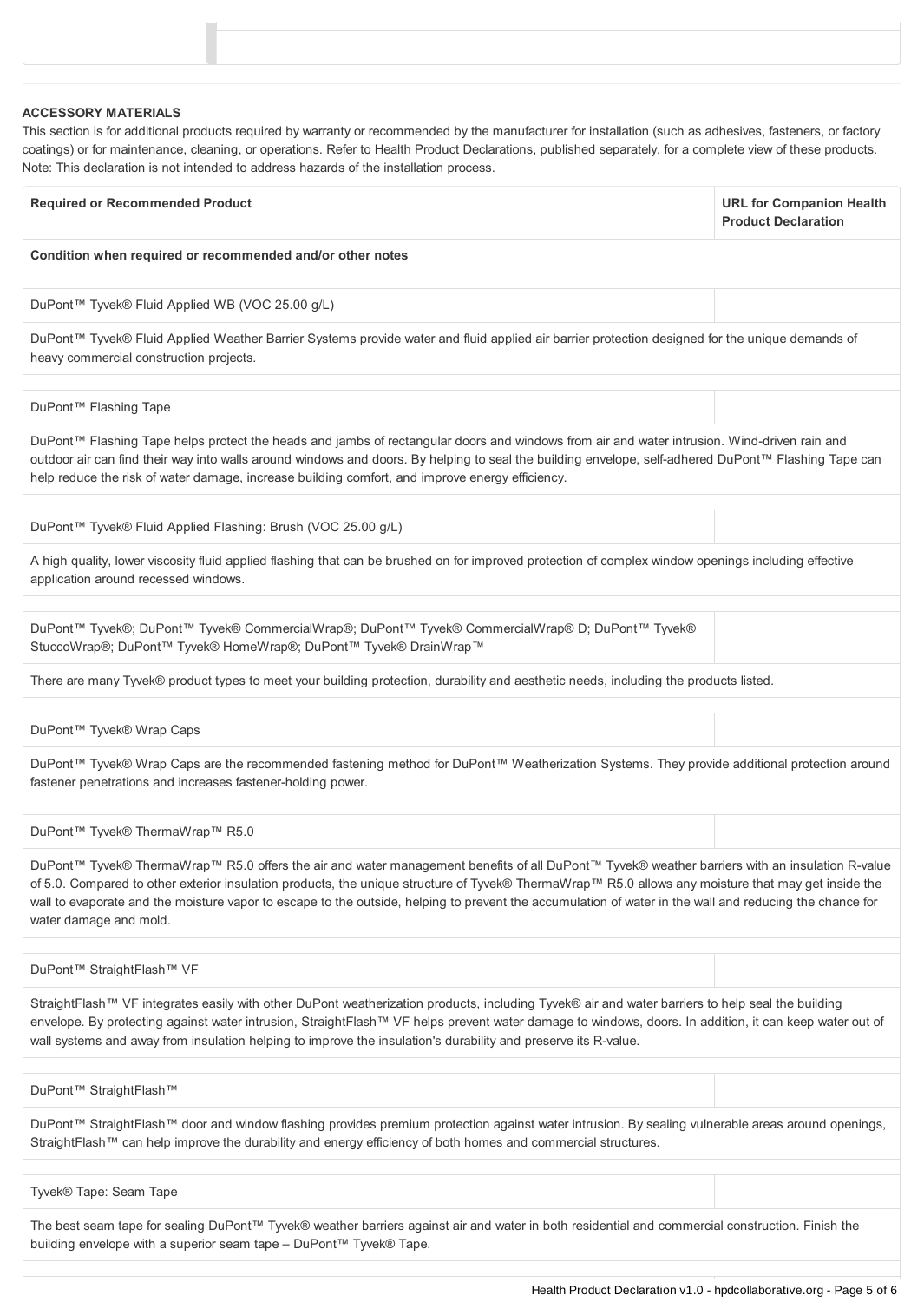| <b>ACCESSORY MATERIALS</b><br>This section is for additional products required by warranty or recommended by the manufacturer for installation (such as adhesives, fasteners, or factory<br>coatings) or for maintenance, cleaning, or operations. Refer to Health Product Declarations, published separately, for a complete view of these products.<br>Note: This declaration is not intended to address hazards of the installation process.                                            |                                                               |  |  |  |
|--------------------------------------------------------------------------------------------------------------------------------------------------------------------------------------------------------------------------------------------------------------------------------------------------------------------------------------------------------------------------------------------------------------------------------------------------------------------------------------------|---------------------------------------------------------------|--|--|--|
| <b>Required or Recommended Product</b>                                                                                                                                                                                                                                                                                                                                                                                                                                                     | <b>URL for Companion Health</b><br><b>Product Declaration</b> |  |  |  |
| Condition when required or recommended and/or other notes                                                                                                                                                                                                                                                                                                                                                                                                                                  |                                                               |  |  |  |
| DuPont™ Tyvek® Fluid Applied WB (VOC 25.00 g/L)                                                                                                                                                                                                                                                                                                                                                                                                                                            |                                                               |  |  |  |
| DuPont™ Tyvek® Fluid Applied Weather Barrier Systems provide water and fluid applied air barrier protection designed for the unique demands of<br>heavy commercial construction projects.                                                                                                                                                                                                                                                                                                  |                                                               |  |  |  |
| DuPont™ Flashing Tape                                                                                                                                                                                                                                                                                                                                                                                                                                                                      |                                                               |  |  |  |
| DuPont™ Flashing Tape helps protect the heads and jambs of rectangular doors and windows from air and water intrusion. Wind-driven rain and<br>outdoor air can find their way into walls around windows and doors. By helping to seal the building envelope, self-adhered DuPont™ Flashing Tape can<br>help reduce the risk of water damage, increase building comfort, and improve energy efficiency.                                                                                     |                                                               |  |  |  |
| DuPont™ Tyvek® Fluid Applied Flashing: Brush (VOC 25.00 g/L)                                                                                                                                                                                                                                                                                                                                                                                                                               |                                                               |  |  |  |
| A high quality, lower viscosity fluid applied flashing that can be brushed on for improved protection of complex window openings including effective<br>application around recessed windows.                                                                                                                                                                                                                                                                                               |                                                               |  |  |  |
| DuPont™ Tyvek®; DuPont™ Tyvek® CommercialWrap®; DuPont™ Tyvek® CommercialWrap® D; DuPont™ Tyvek®<br>StuccoWrap®; DuPont™ Tyvek® HomeWrap®; DuPont™ Tyvek® DrainWrap™                                                                                                                                                                                                                                                                                                                       |                                                               |  |  |  |
| There are many Tyvek® product types to meet your building protection, durability and aesthetic needs, including the products listed.                                                                                                                                                                                                                                                                                                                                                       |                                                               |  |  |  |
| DuPont™ Tyvek® Wrap Caps                                                                                                                                                                                                                                                                                                                                                                                                                                                                   |                                                               |  |  |  |
| DuPont™ Tyvek® Wrap Caps are the recommended fastening method for DuPont™ Weatherization Systems. They provide additional protection around<br>fastener penetrations and increases fastener-holding power.                                                                                                                                                                                                                                                                                 |                                                               |  |  |  |
| DuPont™ Tyvek® ThermaWrap™ R5.0                                                                                                                                                                                                                                                                                                                                                                                                                                                            |                                                               |  |  |  |
| DuPont™ Tyvek® ThermaWrap™ R5.0 offers the air and water management benefits of all DuPont™ Tyvek® weather barriers with an insulation R-value<br>of 5.0. Compared to other exterior insulation products, the unique structure of Tyvek® ThermaWrap™ R5.0 allows any moisture that may get inside the<br>wall to evaporate and the moisture vapor to escape to the outside, helping to prevent the accumulation of water in the wall and reducing the chance for<br>water damage and mold. |                                                               |  |  |  |
| DuPont™ StraightFlash™ VF                                                                                                                                                                                                                                                                                                                                                                                                                                                                  |                                                               |  |  |  |
| StraightFlash™ VF integrates easily with other DuPont weatherization products, including Tyvek® air and water barriers to help seal the building<br>envelope. By protecting against water intrusion, StraightFlash™ VF helps prevent water damage to windows, doors. In addition, it can keep water out of<br>wall systems and away from insulation helping to improve the insulation's durability and preserve its R-value.                                                               |                                                               |  |  |  |
| DuPont™ StraightFlash™                                                                                                                                                                                                                                                                                                                                                                                                                                                                     |                                                               |  |  |  |
| DuPont™ StraightFlash™ door and window flashing provides premium protection against water intrusion. By sealing vulnerable areas around openings,<br>StraightFlash™ can help improve the durability and energy efficiency of both homes and commercial structures.                                                                                                                                                                                                                         |                                                               |  |  |  |

The best seam tape for sealing DuPont™ Tyvek® weather barriers against air and water in both residential and commercial construction. Finish the building envelope with a superior seam tape – DuPont™ Tyvek® Tape.